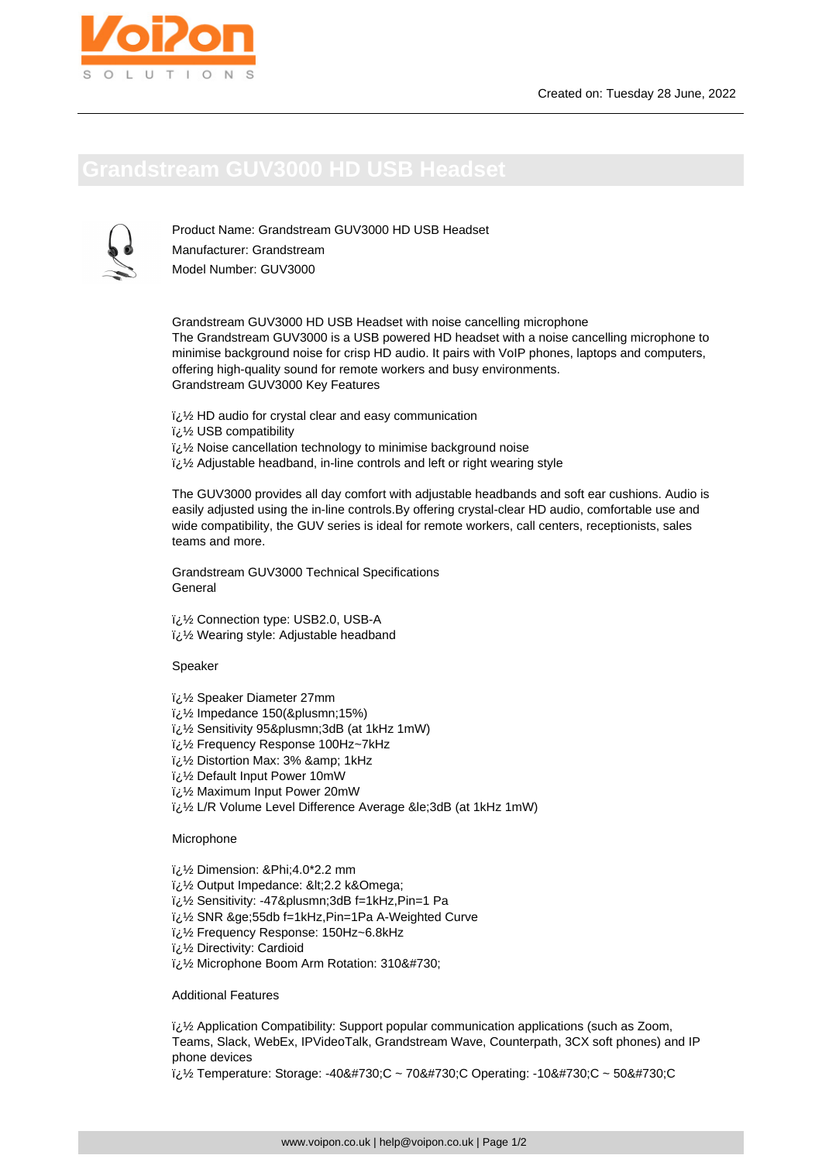Product Name: Grandstream GUV3000 HD USB Headset Manufacturer: Grandstream Model Number: GUV3000

Grandstream GUV3000 HD USB Headset with noise cancelling microphone The Grandstream GUV3000 is a USB powered HD headset with a noise cancelling microphone to minimise background noise for crisp HD audio. It pairs with VoIP phones, laptops and computers, offering high-quality sound for remote workers and busy environments. Grandstream GUV3000 Key Features

- $i\lambda$ ة HD audio for crystal clear and easy communication
- ل<sup>7</sup>ذ USB compatibility
- i<sub>i</sub>: 1/2 Noise cancellation technology to minimise background noise
- لَّ  $\frac{1}{2}$  Adjustable headband, in-line controls and left or right wearing style

The GUV3000 provides all day comfort with adjustable headbands and soft ear cushions. Audio is easily adjusted using the in-line controls.By offering crystal-clear HD audio, comfortable use and wide compatibility, the GUV series is ideal for remote workers, call centers, receptionists, sales teams and more.

Grandstream GUV3000 Technical Specifications General

 $i\lambda$  Connection type: USB2.0, USB-A  $i\lambda$  Wearing style: Adjustable headband

Speaker

- � Speaker Diameter 27mm
- $\frac{1}{2}$ /<sub>2</sub> Impedance 150(&plusmn;15%)
- $\frac{1}{2}$ زi/ Sensitivity 95±3dB (at 1kHz 1mW)
- � Frequency Response 100Hz~7kHz
- $\frac{1}{2}$ ل Distortion Max: 3% & amp; 1kHz
- لازة Default Input Power 10mW
- $\frac{1}{2}$ ن Maximum Input Power 20mW
- � L/R Volume Level Difference Average ≤3dB (at 1kHz 1mW)

Microphone

- � Dimension: Φ4.0\*2.2 mm
- i¿1/2 Output Impedance: <2.2 k&Omega;
- � Sensitivity: -47±3dB f=1kHz,Pin=1 Pa
- � SNR ≥55db f=1kHz,Pin=1Pa A-Weighted Curve
- � Frequency Response: 150Hz~6.8kHz
- � Directivity: Cardioid
- $\frac{1}{2}$ /2 Microphone Boom Arm Rotation: 310˚

Additional Features

 $i,j'$  Application Compatibility: Support popular communication applications (such as Zoom, Teams, Slack, WebEx, IPVideoTalk, Grandstream Wave, Counterpath, 3CX soft phones) and IP phone devices

 $i_{\ell}$ !/ Temperature: Storage: -40˚C ~ 70˚C Operating: -10˚C ~ 50˚C